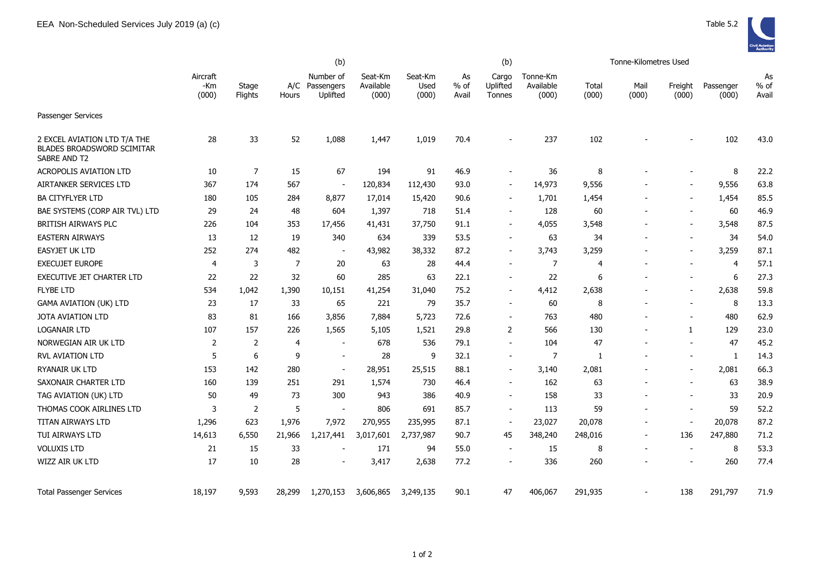|                                                                                   | (b)                      |                         |                |                                         |                               |                          |                     | (b)                                |                                |                | Tonne-Kilometres Used |                          |                    |                     |
|-----------------------------------------------------------------------------------|--------------------------|-------------------------|----------------|-----------------------------------------|-------------------------------|--------------------------|---------------------|------------------------------------|--------------------------------|----------------|-----------------------|--------------------------|--------------------|---------------------|
|                                                                                   | Aircraft<br>-Km<br>(000) | Stage<br><b>Flights</b> | Hours          | Number of<br>A/C Passengers<br>Uplifted | Seat-Km<br>Available<br>(000) | Seat-Km<br>Used<br>(000) | As<br>% of<br>Avail | Cargo<br>Uplifted<br><b>Tonnes</b> | Tonne-Km<br>Available<br>(000) | Total<br>(000) | Mail<br>(000)         | Freight<br>(000)         | Passenger<br>(000) | As<br>% of<br>Avail |
| Passenger Services                                                                |                          |                         |                |                                         |                               |                          |                     |                                    |                                |                |                       |                          |                    |                     |
| 2 EXCEL AVIATION LTD T/A THE<br><b>BLADES BROADSWORD SCIMITAR</b><br>SABRE AND T2 | 28                       | 33                      | 52             | 1,088                                   | 1,447                         | 1,019                    | 70.4                |                                    | 237                            | 102            |                       |                          | 102                | 43.0                |
| <b>ACROPOLIS AVIATION LTD</b>                                                     | 10                       | $\overline{7}$          | 15             | 67                                      | 194                           | 91                       | 46.9                |                                    | 36                             | 8              |                       |                          | 8                  | 22.2                |
| AIRTANKER SERVICES LTD                                                            | 367                      | 174                     | 567            | $\overline{\phantom{a}}$                | 120,834                       | 112,430                  | 93.0                |                                    | 14,973                         | 9,556          |                       | $\overline{\phantom{a}}$ | 9,556              | 63.8                |
| <b>BA CITYFLYER LTD</b>                                                           | 180                      | 105                     | 284            | 8,877                                   | 17,014                        | 15,420                   | 90.6                |                                    | 1,701                          | 1,454          |                       |                          | 1,454              | 85.5                |
| BAE SYSTEMS (CORP AIR TVL) LTD                                                    | 29                       | 24                      | 48             | 604                                     | 1,397                         | 718                      | 51.4                |                                    | 128                            | 60             |                       |                          | 60                 | 46.9                |
| BRITISH AIRWAYS PLC                                                               | 226                      | 104                     | 353            | 17,456                                  | 41,431                        | 37,750                   | 91.1                |                                    | 4,055                          | 3,548          |                       |                          | 3,548              | 87.5                |
| <b>EASTERN AIRWAYS</b>                                                            | 13                       | 12                      | 19             | 340                                     | 634                           | 339                      | 53.5                |                                    | 63                             | 34             |                       |                          | 34                 | 54.0                |
| <b>EASYJET UK LTD</b>                                                             | 252                      | 274                     | 482            | $\sim$                                  | 43,982                        | 38,332                   | 87.2                |                                    | 3,743                          | 3,259          |                       |                          | 3,259              | 87.1                |
| <b>EXECUJET EUROPE</b>                                                            | $\overline{4}$           | 3                       | $\overline{7}$ | 20                                      | 63                            | 28                       | 44.4                |                                    | 7                              | $\overline{4}$ |                       |                          | 4                  | 57.1                |
| EXECUTIVE JET CHARTER LTD                                                         | 22                       | 22                      | 32             | 60                                      | 285                           | 63                       | 22.1                |                                    | 22                             | 6              |                       | $\overline{\phantom{a}}$ | 6                  | 27.3                |
| <b>FLYBE LTD</b>                                                                  | 534                      | 1,042                   | 1,390          | 10,151                                  | 41,254                        | 31,040                   | 75.2                |                                    | 4,412                          | 2,638          |                       |                          | 2,638              | 59.8                |
| <b>GAMA AVIATION (UK) LTD</b>                                                     | 23                       | 17                      | 33             | 65                                      | 221                           | 79                       | 35.7                |                                    | 60                             | 8              |                       | $\overline{\phantom{a}}$ | 8                  | 13.3                |
| JOTA AVIATION LTD                                                                 | 83                       | 81                      | 166            | 3,856                                   | 7,884                         | 5,723                    | 72.6                |                                    | 763                            | 480            |                       |                          | 480                | 62.9                |
| <b>LOGANAIR LTD</b>                                                               | 107                      | 157                     | 226            | 1,565                                   | 5,105                         | 1,521                    | 29.8                | 2                                  | 566                            | 130            |                       | 1                        | 129                | 23.0                |
| NORWEGIAN AIR UK LTD                                                              | $\overline{2}$           | $\overline{2}$          | $\overline{4}$ | $\overline{\phantom{a}}$                | 678                           | 536                      | 79.1                |                                    | 104                            | 47             |                       |                          | 47                 | 45.2                |
| RVL AVIATION LTD                                                                  | 5                        | 6                       | 9              | $\blacksquare$                          | 28                            | 9                        | 32.1                |                                    | 7                              | 1              |                       | $\overline{\phantom{a}}$ | $\mathbf{1}$       | 14.3                |
| <b>RYANAIR UK LTD</b>                                                             | 153                      | 142                     | 280            | $\sim$                                  | 28,951                        | 25,515                   | 88.1                |                                    | 3,140                          | 2,081          |                       |                          | 2,081              | 66.3                |
| SAXONAIR CHARTER LTD                                                              | 160                      | 139                     | 251            | 291                                     | 1,574                         | 730                      | 46.4                |                                    | 162                            | 63             |                       |                          | 63                 | 38.9                |
| TAG AVIATION (UK) LTD                                                             | 50                       | 49                      | 73             | 300                                     | 943                           | 386                      | 40.9                |                                    | 158                            | 33             |                       | $\overline{\phantom{a}}$ | 33                 | 20.9                |
| THOMAS COOK AIRLINES LTD                                                          | 3                        | $\overline{2}$          | 5              | $\blacksquare$                          | 806                           | 691                      | 85.7                | $\overline{\phantom{a}}$           | 113                            | 59             |                       | $\overline{\phantom{a}}$ | 59                 | 52.2                |
| TITAN AIRWAYS LTD                                                                 | 1,296                    | 623                     | 1,976          | 7,972                                   | 270,955                       | 235,995                  | 87.1                | $\overline{\phantom{a}}$           | 23,027                         | 20,078         | $\overline{a}$        |                          | 20,078             | 87.2                |
| TUI AIRWAYS LTD                                                                   | 14,613                   | 6,550                   | 21,966         | 1,217,441                               | 3,017,601                     | 2,737,987                | 90.7                | 45                                 | 348,240                        | 248,016        | $\blacksquare$        | 136                      | 247,880            | 71.2                |
| <b>VOLUXIS LTD</b>                                                                | 21                       | 15                      | 33             |                                         | 171                           | 94                       | 55.0                |                                    | 15                             | 8              |                       |                          | 8                  | 53.3                |
| WIZZ AIR UK LTD                                                                   | 17                       | 10                      | 28             | $\overline{\phantom{a}}$                | 3,417                         | 2,638                    | 77.2                |                                    | 336                            | 260            |                       |                          | 260                | 77.4                |
| <b>Total Passenger Services</b>                                                   | 18,197                   | 9,593                   | 28,299         | 1,270,153                               | 3,606,865                     | 3,249,135                | 90.1                | 47                                 | 406,067                        | 291,935        |                       | 138                      | 291,797            | 71.9                |